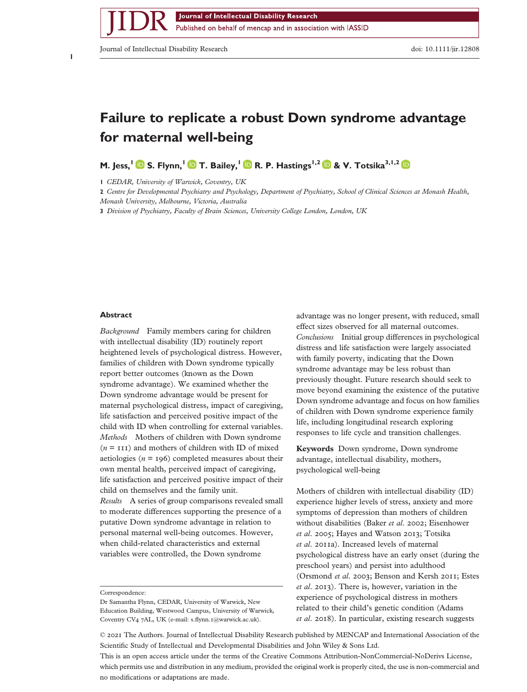Published on behalf of mencap and in association with IASSID

Journal of Intellectual Disability Research doi: 10.1111/jir.12808

**1**

bs\_bs\_banner

# **Failure to replicate a robust Down syndrome advantage for maternal well-being**

**M.** Jess,  $\left\{\right.$  **S.** Flynn,  $\left\{\right.$  **D** T. Bailey,  $\left\{\right.$  **D** R. P. Hastings<sup>1,2</sup> **D** & V. Totsika<sup>3,1,2</sup> D

**1** *CEDAR, University of Warwick, Coventry, UK*

**2** *Centre for Developmental Psychiatry and Psychology, Department of Psychiatry, School of Clinical Sciences at Monash Health,*

*Monash University, Melbourne, Victoria, Australia*

**3** *Division of Psychiatry, Faculty of Brain Sciences, University College London, London, UK*

# **Abstract**

*Background* Family members caring for children with intellectual disability (ID) routinely report heightened levels of psychological distress. However, families of children with Down syndrome typically report better outcomes (known as the Down syndrome advantage). We examined whether the Down syndrome advantage would be present for maternal psychological distress, impact of caregiving, life satisfaction and perceived positive impact of the child with ID when controlling for external variables. *Methods* Mothers of children with Down syndrome  $(n = 111)$  and mothers of children with ID of mixed aetiologies ( $n = 196$ ) completed measures about their own mental health, perceived impact of caregiving, life satisfaction and perceived positive impact of their child on themselves and the family unit. *Results* A series of group comparisons revealed small to moderate differences supporting the presence of a putative Down syndrome advantage in relation to personal maternal well-being outcomes. However, when child-related characteristics and external variables were controlled, the Down syndrome

advantage was no longer present, with reduced, small effect sizes observed for all maternal outcomes. *Conclusions* Initial group differences in psychological distress and life satisfaction were largely associated with family poverty, indicating that the Down syndrome advantage may be less robust than previously thought. Future research should seek to move beyond examining the existence of the putative Down syndrome advantage and focus on how families of children with Down syndrome experience family life, including longitudinal research exploring responses to life cycle and transition challenges.

**Keywords** Down syndrome, Down syndrome advantage, intellectual disability, mothers, psychological well-being

Mothers of children with intellectual disability (ID) experience higher levels of stress, anxiety and more symptoms of depression than mothers of children without disabilities (Baker *et al*. 2002; Eisenhower *et al*. 2005; Hayes and Watson 2013; Totsika *et al*. 2011a). Increased levels of maternal psychological distress have an early onset (during the preschool years) and persist into adulthood (Orsmond *et al*. 2003; Benson and Kersh 2011; Estes *et al*. 2013). There is, however, variation in the experience of psychological distress in mothers related to their child's genetic condition (Adams *et al*. 2018). In particular, existing research suggests

This is an open access article under the terms of the [Creative Commons Attribution-NonCommercial-NoDerivs](http://creativecommons.org/licenses/by-nc-nd/4.0/) License, which permits use and distribution in any medium, provided the original work is properly cited, the use is non-commercial and no modifications or adaptations are made.

Correspondence:

Dr Samantha Flynn, CEDAR, University of Warwick, New Education Building, Westwood Campus, University of Warwick, Coventry CV4 7AL, UK (e-mail: s.flynn.1[@warwick.ac.uk\)](mailto:s.flynn.1@warwick.ac.uk).

<sup>©</sup> 2021 The Authors. Journal of Intellectual Disability Research published by MENCAP and International Association of the Scientific Study of Intellectual and Developmental Disabilities and John Wiley & Sons Ltd.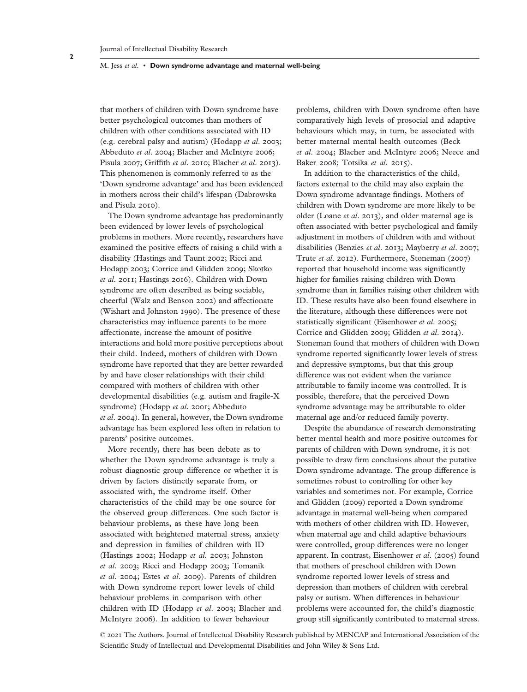that mothers of children with Down syndrome have better psychological outcomes than mothers of children with other conditions associated with ID (e.g. cerebral palsy and autism) (Hodapp *et al*. 2003; Abbeduto *et al*. 2004; Blacher and McIntyre 2006; Pisula 2007; Griffith *et al*. 2010; Blacher *et al*. 2013). This phenomenon is commonly referred to as the 'Down syndrome advantage' and has been evidenced in mothers across their child's lifespan (Dabrowska and Pisula 2010).

The Down syndrome advantage has predominantly been evidenced by lower levels of psychological problems in mothers. More recently, researchers have examined the positive effects of raising a child with a disability (Hastings and Taunt 2002; Ricci and Hodapp 2003; Corrice and Glidden 2009; Skotko *et al*. 2011; Hastings 2016). Children with Down syndrome are often described as being sociable, cheerful (Walz and Benson 2002) and affectionate (Wishart and Johnston 1990). The presence of these characteristics may influence parents to be more affectionate, increase the amount of positive interactions and hold more positive perceptions about their child. Indeed, mothers of children with Down syndrome have reported that they are better rewarded by and have closer relationships with their child compared with mothers of children with other developmental disabilities (e.g. autism and fragile-X syndrome) (Hodapp *et al*. 2001; Abbeduto *et al*. 2004). In general, however, the Down syndrome advantage has been explored less often in relation to parents' positive outcomes.

More recently, there has been debate as to whether the Down syndrome advantage is truly a robust diagnostic group difference or whether it is driven by factors distinctly separate from, or associated with, the syndrome itself. Other characteristics of the child may be one source for the observed group differences. One such factor is behaviour problems, as these have long been associated with heightened maternal stress, anxiety and depression in families of children with ID (Hastings 2002; Hodapp *et al*. 2003; Johnston *et al*. 2003; Ricci and Hodapp 2003; Tomanik *et al*. 2004; Estes *et al*. 2009). Parents of children with Down syndrome report lower levels of child behaviour problems in comparison with other children with ID (Hodapp *et al*. 2003; Blacher and McIntyre 2006). In addition to fewer behaviour

problems, children with Down syndrome often have comparatively high levels of prosocial and adaptive behaviours which may, in turn, be associated with better maternal mental health outcomes (Beck *et al*. 2004; Blacher and McIntyre 2006; Neece and Baker 2008; Totsika *et al*. 2015).

In addition to the characteristics of the child, factors external to the child may also explain the Down syndrome advantage findings. Mothers of children with Down syndrome are more likely to be older (Loane *et al*. 2013), and older maternal age is often associated with better psychological and family adjustment in mothers of children with and without disabilities (Benzies *et al*. 2013; Mayberry *et al*. 2007; Trute *et al*. 2012). Furthermore, Stoneman (2007) reported that household income was significantly higher for families raising children with Down syndrome than in families raising other children with ID. These results have also been found elsewhere in the literature, although these differences were not statistically significant (Eisenhower *et al*. 2005; Corrice and Glidden 2009; Glidden *et al*. 2014). Stoneman found that mothers of children with Down syndrome reported significantly lower levels of stress and depressive symptoms, but that this group difference was not evident when the variance attributable to family income was controlled. It is possible, therefore, that the perceived Down syndrome advantage may be attributable to older maternal age and/or reduced family poverty.

Despite the abundance of research demonstrating better mental health and more positive outcomes for parents of children with Down syndrome, it is not possible to draw firm conclusions about the putative Down syndrome advantage. The group difference is sometimes robust to controlling for other key variables and sometimes not. For example, Corrice and Glidden (2009) reported a Down syndrome advantage in maternal well-being when compared with mothers of other children with ID. However, when maternal age and child adaptive behaviours were controlled, group differences were no longer apparent. In contrast, Eisenhower *et al*. (2005) found that mothers of preschool children with Down syndrome reported lower levels of stress and depression than mothers of children with cerebral palsy or autism. When differences in behaviour problems were accounted for, the child's diagnostic group still significantly contributed to maternal stress.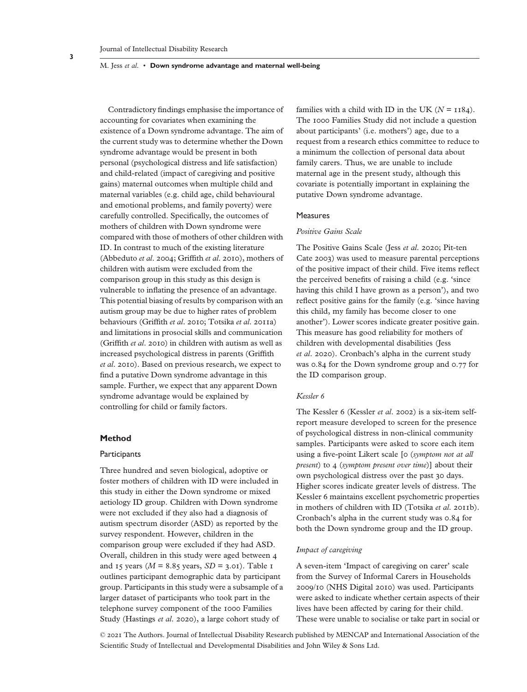Contradictory findings emphasise the importance of accounting for covariates when examining the existence of a Down syndrome advantage. The aim of the current study was to determine whether the Down syndrome advantage would be present in both personal (psychological distress and life satisfaction) and child-related (impact of caregiving and positive gains) maternal outcomes when multiple child and maternal variables (e.g. child age, child behavioural and emotional problems, and family poverty) were carefully controlled. Specifically, the outcomes of mothers of children with Down syndrome were compared with those of mothers of other children with ID. In contrast to much of the existing literature (Abbeduto *et al*. 2004; Griffith *et al*. 2010), mothers of children with autism were excluded from the comparison group in this study as this design is vulnerable to inflating the presence of an advantage. This potential biasing of results by comparison with an autism group may be due to higher rates of problem behaviours (Griffith *et al*. 2010; Totsika *et al*. 2011a) and limitations in prosocial skills and communication (Griffith *et al*. 2010) in children with autism as well as increased psychological distress in parents (Griffith *et al*. 2010). Based on previous research, we expect to find a putative Down syndrome advantage in this sample. Further, we expect that any apparent Down syndrome advantage would be explained by controlling for child or family factors.

# **Method**

#### **Participants**

Three hundred and seven biological, adoptive or foster mothers of children with ID were included in this study in either the Down syndrome or mixed aetiology ID group. Children with Down syndrome were not excluded if they also had a diagnosis of autism spectrum disorder (ASD) as reported by the survey respondent. However, children in the comparison group were excluded if they had ASD. Overall, children in this study were aged between 4 and 15 years ( $M = 8.85$  years,  $SD = 3.01$ ). Table 1 outlines participant demographic data by participant group. Participants in this study were a subsample of a larger dataset of participants who took part in the telephone survey component of the 1000 Families Study (Hastings *et al*. 2020), a large cohort study of

families with a child with ID in the UK  $(N = 1184)$ . The 1000 Families Study did not include a question about participants' (i.e. mothers') age, due to a request from a research ethics committee to reduce to a minimum the collection of personal data about family carers. Thus, we are unable to include maternal age in the present study, although this covariate is potentially important in explaining the putative Down syndrome advantage.

#### **Measures**

# *Positive Gains Scale*

The Positive Gains Scale (Jess *et al*. 2020; Pit-ten Cate 2003) was used to measure parental perceptions of the positive impact of their child. Five items reflect the perceived benefits of raising a child (e.g. 'since having this child I have grown as a person'), and two reflect positive gains for the family (e.g. 'since having this child, my family has become closer to one another'). Lower scores indicate greater positive gain. This measure has good reliability for mothers of children with developmental disabilities (Jess *et al*. 2020). Cronbach's alpha in the current study was 0.84 for the Down syndrome group and 0.77 for the ID comparison group.

#### *Kessler 6*

The Kessler 6 (Kessler *et al*. 2002) is a six-item selfreport measure developed to screen for the presence of psychological distress in non-clinical community samples. Participants were asked to score each item using a five-point Likert scale [0 (*symptom not at all present*) to 4 (*symptom present over time*)] about their own psychological distress over the past 30 days. Higher scores indicate greater levels of distress. The Kessler 6 maintains excellent psychometric properties in mothers of children with ID (Totsika *et al*. 2011b). Cronbach's alpha in the current study was 0.84 for both the Down syndrome group and the ID group.

# *Impact of caregiving*

A seven-item 'Impact of caregiving on carer' scale from the Survey of Informal Carers in Households 2009/10 (NHS Digital 2010) was used. Participants were asked to indicate whether certain aspects of their lives have been affected by caring for their child. These were unable to socialise or take part in social or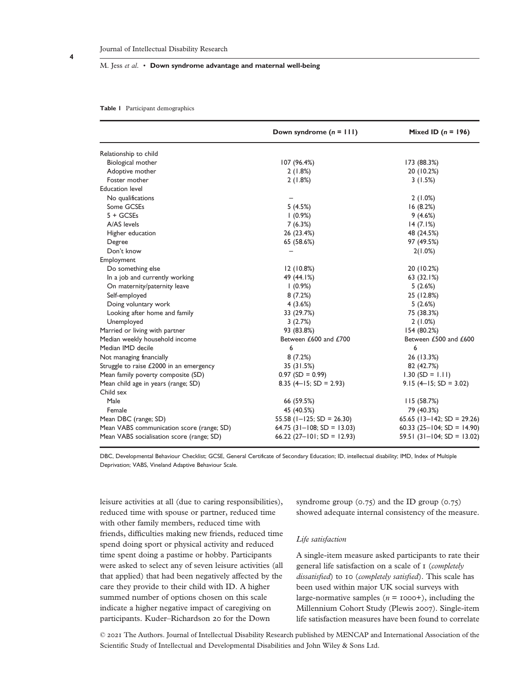#### **Table 1** Participant demographics

|                                           | Down syndrome $(n = 111)$         | Mixed ID $(n = 196)$           |  |  |
|-------------------------------------------|-----------------------------------|--------------------------------|--|--|
| Relationship to child                     |                                   |                                |  |  |
| Biological mother                         | 107 (96.4%)                       | 173 (88.3%)                    |  |  |
| Adoptive mother                           | 2(1.8%)                           | 20 (10.2%)                     |  |  |
| Foster mother                             | 2(1.8%)                           | 3(1.5%)                        |  |  |
| <b>Education level</b>                    |                                   |                                |  |  |
| No qualifications                         |                                   | 2(1.0%)                        |  |  |
| Some GCSEs                                | 5(4.5%)                           | 16(8.2%)                       |  |  |
| $5 + GCSEs$                               | $(0.9\%)$                         | 9(4.6%)                        |  |  |
| A/AS levels                               | 7(6.3%)                           | 14(7.1%)                       |  |  |
| Higher education                          | 26 (23.4%)                        | 48 (24.5%)                     |  |  |
| Degree                                    | 65 (58.6%)                        | 97 (49.5%)                     |  |  |
| Don't know                                |                                   | 2(1.0%)                        |  |  |
| Employment                                |                                   |                                |  |  |
| Do something else                         | 12(10.8%)                         | 20 (10.2%)                     |  |  |
| In a job and currently working            | 49 (44.1%)                        | 63(32.1%)                      |  |  |
| On maternity/paternity leave              | $(0.9\%)$                         | 5(2.6%)                        |  |  |
| Self-employed                             | 8(7.2%)                           | 25 (12.8%)                     |  |  |
| Doing voluntary work                      | 4(3.6%)                           | 5(2.6%)                        |  |  |
| Looking after home and family             | 33 (29.7%)                        | 75 (38.3%)                     |  |  |
| Unemployed                                | 3(2.7%)                           | 2(1.0%)                        |  |  |
| Married or living with partner            | 93 (83.8%)                        | 154 (80.2%)                    |  |  |
| Median weekly household income            | Between £600 and £700             | Between £500 and £600          |  |  |
| Median IMD decile                         | 6                                 | 6                              |  |  |
| Not managing financially                  | 8(7.2%)                           | 26 (13.3%)                     |  |  |
| Struggle to raise £2000 in an emergency   | 35 (31.5%)                        | 82 (42.7%)                     |  |  |
| Mean family poverty composite (SD)        | $0.97$ (SD = 0.99)                | $1.30$ (SD = 1.11)             |  |  |
| Mean child age in years (range; SD)       | 8.35 (4–15; SD = 2.93)            | $9.15$ (4-15; SD = 3.02)       |  |  |
| Child sex                                 |                                   |                                |  |  |
| Male                                      | 66 (59.5%)                        | 115(58.7%)                     |  |  |
| Female                                    | 45 (40.5%)                        | 79 (40.3%)                     |  |  |
| Mean DBC (range; SD)                      | $55.58$ ( $I - 125$ ; SD = 26.30) | 65.65 ( $13-142$ ; SD = 29.26) |  |  |
| Mean VABS communication score (range; SD) | $64.75$ (31-108; SD = 13.03)      | 60.33 (25-104; SD = 14.90)     |  |  |
| Mean VABS socialisation score (range; SD) | 66.22 (27-101; SD = 12.93)        | $59.51$ (31-104; SD = 13.02)   |  |  |

DBC, Developmental Behaviour Checklist; GCSE, General Certificate of Secondary Education; ID, intellectual disability; IMD, Index of Multiple Deprivation; VABS, Vineland Adaptive Behaviour Scale.

leisure activities at all (due to caring responsibilities), reduced time with spouse or partner, reduced time with other family members, reduced time with friends, difficulties making new friends, reduced time spend doing sport or physical activity and reduced time spent doing a pastime or hobby. Participants were asked to select any of seven leisure activities (all that applied) that had been negatively affected by the care they provide to their child with ID. A higher summed number of options chosen on this scale indicate a higher negative impact of caregiving on participants. Kuder–Richardson 20 for the Down

syndrome group (0.75) and the ID group (0.75) showed adequate internal consistency of the measure.

## *Life satisfaction*

A single-item measure asked participants to rate their general life satisfaction on a scale of 1 (*completely dissatisfied*) to 10 (*completely satisfied*). This scale has been used within major UK social surveys with large-normative samples  $(n = 1000+)$ , including the Millennium Cohort Study (Plewis 2007). Single-item life satisfaction measures have been found to correlate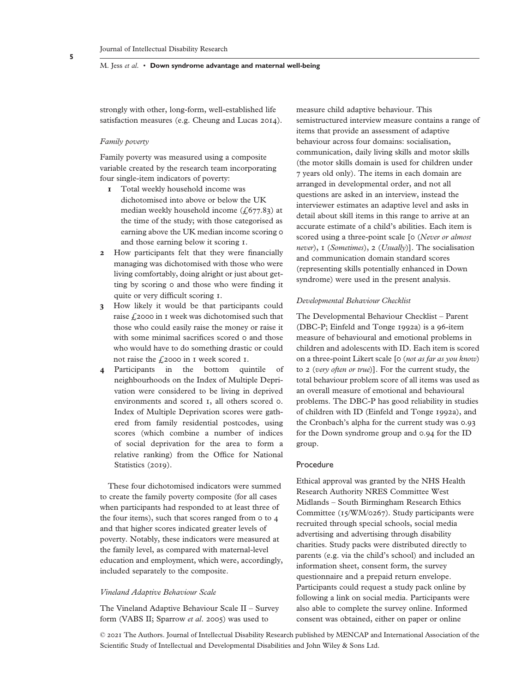strongly with other, long-form, well-established life satisfaction measures (e.g. Cheung and Lucas 2014).

# *Family poverty*

Family poverty was measured using a composite variable created by the research team incorporating four single-item indicators of poverty:

- **1** Total weekly household income was dichotomised into above or below the UK median weekly household income  $(f_1677.83)$  at the time of the study; with those categorised as earning above the UK median income scoring 0 and those earning below it scoring 1.
- **2** How participants felt that they were financially managing was dichotomised with those who were living comfortably, doing alright or just about getting by scoring 0 and those who were finding it quite or very difficult scoring 1.
- **3** How likely it would be that participants could raise £2000 in 1 week was dichotomised such that those who could easily raise the money or raise it with some minimal sacrifices scored o and those who would have to do something drastic or could not raise the  $\text{\textsterling}2000$  in 1 week scored 1.
- **4** Participants in the bottom quintile of neighbourhoods on the Index of Multiple Deprivation were considered to be living in deprived environments and scored 1, all others scored 0. Index of Multiple Deprivation scores were gathered from family residential postcodes, using scores (which combine a number of indices of social deprivation for the area to form a relative ranking) from the Office for National Statistics (2019).

These four dichotomised indicators were summed to create the family poverty composite (for all cases when participants had responded to at least three of the four items), such that scores ranged from 0 to 4 and that higher scores indicated greater levels of poverty. Notably, these indicators were measured at the family level, as compared with maternal-level education and employment, which were, accordingly, included separately to the composite.

#### *Vineland Adaptive Behaviour Scale*

The Vineland Adaptive Behaviour Scale II – Survey form (VABS II; Sparrow *et al*. 2005) was used to

measure child adaptive behaviour. This semistructured interview measure contains a range of items that provide an assessment of adaptive behaviour across four domains: socialisation, communication, daily living skills and motor skills (the motor skills domain is used for children under 7 years old only). The items in each domain are arranged in developmental order, and not all questions are asked in an interview, instead the interviewer estimates an adaptive level and asks in detail about skill items in this range to arrive at an accurate estimate of a child's abilities. Each item is scored using a three-point scale [0 (*Never or almost never*), 1 (*Sometimes*), 2 (*Usually*)]. The socialisation and communication domain standard scores (representing skills potentially enhanced in Down syndrome) were used in the present analysis.

## *Developmental Behaviour Checklist*

The Developmental Behaviour Checklist – Parent (DBC-P; Einfeld and Tonge 1992a) is a 96-item measure of behavioural and emotional problems in children and adolescents with ID. Each item is scored on a three-point Likert scale [0 (*not as far as you know*) to 2 (*very often or true*)]. For the current study, the total behaviour problem score of all items was used as an overall measure of emotional and behavioural problems. The DBC-P has good reliability in studies of children with ID (Einfeld and Tonge 1992a), and the Cronbach's alpha for the current study was 0.93 for the Down syndrome group and 0.94 for the ID group.

#### Procedure

Ethical approval was granted by the NHS Health Research Authority NRES Committee West Midlands – South Birmingham Research Ethics Committee (15/WM/0267). Study participants were recruited through special schools, social media advertising and advertising through disability charities. Study packs were distributed directly to parents (e.g. via the child's school) and included an information sheet, consent form, the survey questionnaire and a prepaid return envelope. Participants could request a study pack online by following a link on social media. Participants were also able to complete the survey online. Informed consent was obtained, either on paper or online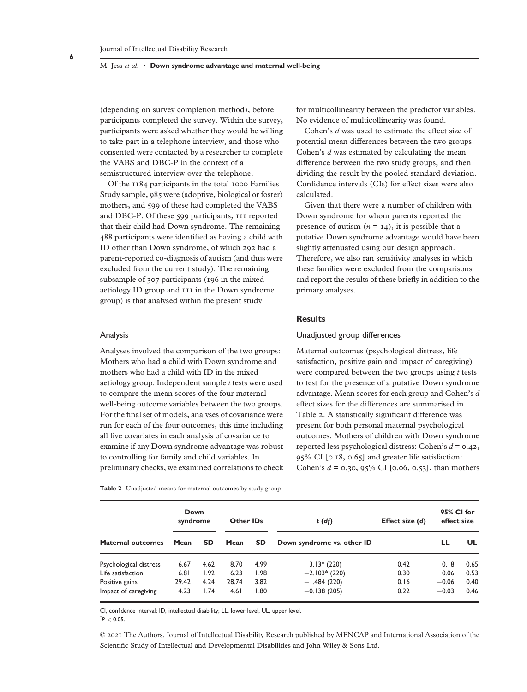(depending on survey completion method), before participants completed the survey. Within the survey, participants were asked whether they would be willing to take part in a telephone interview, and those who consented were contacted by a researcher to complete the VABS and DBC-P in the context of a semistructured interview over the telephone.

Of the 1184 participants in the total 1000 Families Study sample, 985 were (adoptive, biological or foster) mothers, and 599 of these had completed the VABS and DBC-P. Of these 599 participants, 111 reported that their child had Down syndrome. The remaining 488 participants were identified as having a child with ID other than Down syndrome, of which 292 had a parent-reported co-diagnosis of autism (and thus were excluded from the current study). The remaining subsample of 307 participants (196 in the mixed aetiology ID group and 111 in the Down syndrome group) is that analysed within the present study.

#### Analysis

Analyses involved the comparison of the two groups: Mothers who had a child with Down syndrome and mothers who had a child with ID in the mixed aetiology group. Independent sample *t* tests were used to compare the mean scores of the four maternal well-being outcome variables between the two groups. For the final set of models, analyses of covariance were run for each of the four outcomes, this time including all five covariates in each analysis of covariance to examine if any Down syndrome advantage was robust to controlling for family and child variables. In preliminary checks, we examined correlations to check

**Table 2** Unadjusted means for maternal outcomes by study group

for multicollinearity between the predictor variables. No evidence of multicollinearity was found.

Cohen's *d* was used to estimate the effect size of potential mean differences between the two groups. Cohen's *d* was estimated by calculating the mean difference between the two study groups, and then dividing the result by the pooled standard deviation. Confidence intervals (CIs) for effect sizes were also calculated.

Given that there were a number of children with Down syndrome for whom parents reported the presence of autism  $(n = 14)$ , it is possible that a putative Down syndrome advantage would have been slightly attenuated using our design approach. Therefore, we also ran sensitivity analyses in which these families were excluded from the comparisons and report the results of these briefly in addition to the primary analyses.

# **Results**

# Unadjusted group differences

Maternal outcomes (psychological distress, life satisfaction, positive gain and impact of caregiving) were compared between the two groups using *t* tests to test for the presence of a putative Down syndrome advantage. Mean scores for each group and Cohen's *d* effect sizes for the differences are summarised in Table 2. A statistically significant difference was present for both personal maternal psychological outcomes. Mothers of children with Down syndrome reported less psychological distress: Cohen's *d* = 0.42, 95% CI [0.18, 0.65] and greater life satisfaction: Cohen's *d* = 0.30, 95% CI [0.06, 0.53], than mothers

|                          | Down<br>syndrome |      | <b>Other IDs</b> |      | $t(d\hat{p})$              | Effect size (d) | 95% CI for<br>effect size |      |
|--------------------------|------------------|------|------------------|------|----------------------------|-----------------|---------------------------|------|
| <b>Maternal outcomes</b> | Mean             | SD.  | Mean             | SD.  | Down syndrome vs. other ID |                 | ᄔ                         | UL.  |
| Psychological distress   | 6.67             | 4.62 | 8.70             | 4.99 | $3.13*(220)$               | 0.42            | 0.18                      | 0.65 |
| Life satisfaction        | 6.81             | 1.92 | 6.23             | 1.98 | $-2.103*(220)$             | 0.30            | 0.06                      | 0.53 |
| Positive gains           | 29.42            | 4.24 | 28.74            | 3.82 | $-1.484(220)$              | 0.16            | $-0.06$                   | 0.40 |
| Impact of caregiving     | 4.23             | 1.74 | 4.61             | 1.80 | $-0.138(205)$              | 0.22            | $-0.03$                   | 0.46 |

CI, confidence interval; ID, intellectual disability; LL, lower level; UL, upper level.

\* *P <* 0.05.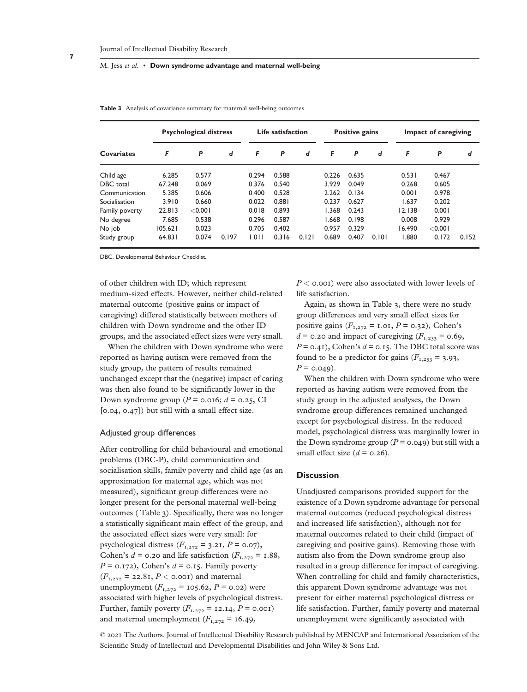| <b>Covariates</b> | <b>Psychological distress</b> |         |       | Life satisfaction |       |       | Positive gains |       |       | Impact of caregiving |         |       |
|-------------------|-------------------------------|---------|-------|-------------------|-------|-------|----------------|-------|-------|----------------------|---------|-------|
|                   | F                             | P       | d     | F                 | P     | d     | F              | P     | d     | F                    | P       | d     |
| Child age         | 6.285                         | 0.577   |       | 0.294             | 0.588 |       | 0.226          | 0.635 |       | 0.531                | 0.467   |       |
| DBC total         | 67.248                        | 0.069   |       | 0.376             | 0.540 |       | 3.929          | 0.049 |       | 0.268                | 0.605   |       |
| Communication     | 5.385                         | 0.606   |       | 0.400             | 0.528 |       | 2.262          | 0.134 |       | 0.001                | 0.978   |       |
| Socialisation     | 3.910                         | 0.660   |       | 0.022             | 0.881 |       | 0.237          | 0.627 |       | 1.637                | 0.202   |       |
| Family poverty    | 22.813                        | < 0.001 |       | 0.018             | 0.893 |       | 1.368          | 0.243 |       | 12.138               | 0.001   |       |
| No degree         | 7.685                         | 0.538   |       | 0.296             | 0.587 |       | 1.668          | 0.198 |       | 0.008                | 0.929   |       |
| No job            | 105.621                       | 0.023   |       | 0.705             | 0.402 |       | 0.957          | 0.329 |       | 16.490               | < 0.001 |       |
| Study group       | 64.831                        | 0.074   | 0.197 | 1.011             | 0.316 | 0.121 | 0.689          | 0.407 | 0.101 | 1.880                | 0.172   | 0.152 |

**Table 3** Analysis of covariance summary for maternal well-being outcomes

DBC, Developmental Behaviour Checklist.

of other children with ID; which represent medium-sized effects. However, neither child-related maternal outcome (positive gains or impact of caregiving) differed statistically between mothers of children with Down syndrome and the other ID groups, and the associated effect sizes were very small.

When the children with Down syndrome who were reported as having autism were removed from the study group, the pattern of results remained unchanged except that the (negative) impact of caring was then also found to be significantly lower in the Down syndrome group ( $P = 0.016$ ;  $d = 0.25$ , CI [0.04, 0.47]) but still with a small effect size.

#### Adjusted group differences

After controlling for child behavioural and emotional problems (DBC-P), child communication and socialisation skills, family poverty and child age (as an approximation for maternal age, which was not measured), significant group differences were no longer present for the personal maternal well-being outcomes ( Table 3). Specifically, there was no longer a statistically significant main effect of the group, and the associated effect sizes were very small: for psychological distress  $(F_{1,272} = 3.21, P = 0.07)$ , Cohen's  $d = 0.20$  and life satisfaction ( $F_{1,272} = 1.88$ ,  $P = 0.172$ , Cohen's  $d = 0.15$ . Family poverty  $(F_{1,272} = 22.8$ I,  $P < 0.00$ I) and maternal unemployment  $(F_{1,272} = 105.62, P = 0.02)$  were associated with higher levels of psychological distress. Further, family poverty  $(F_{1,272} = 12.14, P = 0.001)$ and maternal unemployment  $(F_{1,272} = 16.49)$ ,

*P <* 0.001) were also associated with lower levels of life satisfaction.

Again, as shown in Table 3, there were no study group differences and very small effect sizes for positive gains  $(F_{1,272} = 1.01, P = 0.32)$ , Cohen's  $d = 0.20$  and impact of caregiving ( $F_{1,253} = 0.69$ ,  $P = 0.41$ , Cohen's  $d = 0.15$ . The DBC total score was found to be a predictor for gains  $(F_{1,253} = 3.93)$ ,  $P = 0.049$ .

When the children with Down syndrome who were reported as having autism were removed from the study group in the adjusted analyses, the Down syndrome group differences remained unchanged except for psychological distress. In the reduced model, psychological distress was marginally lower in the Down syndrome group  $(P = 0.049)$  but still with a small effect size  $(d = 0.26)$ .

# **Discussion**

Unadjusted comparisons provided support for the existence of a Down syndrome advantage for personal maternal outcomes (reduced psychological distress and increased life satisfaction), although not for maternal outcomes related to their child (impact of caregiving and positive gains). Removing those with autism also from the Down syndrome group also resulted in a group difference for impact of caregiving. When controlling for child and family characteristics, this apparent Down syndrome advantage was not present for either maternal psychological distress or life satisfaction. Further, family poverty and maternal unemployment were significantly associated with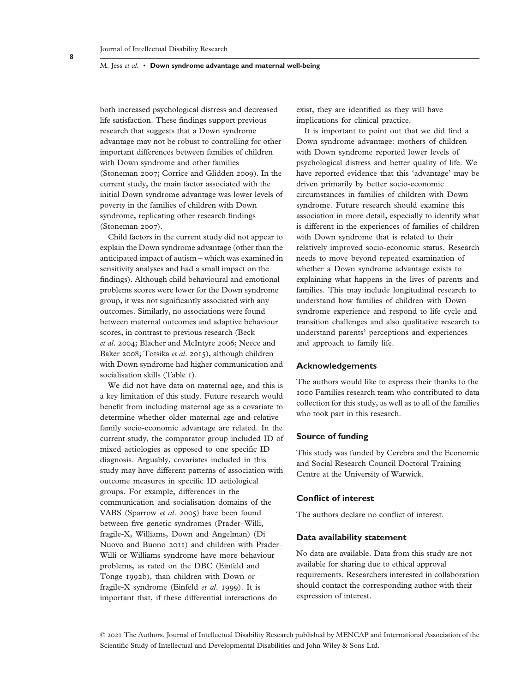both increased psychological distress and decreased life satisfaction. These findings support previous research that suggests that a Down syndrome advantage may not be robust to controlling for other important differences between families of children with Down syndrome and other families (Stoneman 2007; Corrice and Glidden 2009). In the current study, the main factor associated with the initial Down syndrome advantage was lower levels of poverty in the families of children with Down syndrome, replicating other research findings (Stoneman 2007).

Child factors in the current study did not appear to explain the Down syndrome advantage (other than the anticipated impact of autism – which was examined in sensitivity analyses and had a small impact on the findings). Although child behavioural and emotional problems scores were lower for the Down syndrome group, it was not significantly associated with any outcomes. Similarly, no associations were found between maternal outcomes and adaptive behaviour scores, in contrast to previous research (Beck *et al*. 2004; Blacher and McIntyre 2006; Neece and Baker 2008; Totsika *et al*. 2015), although children with Down syndrome had higher communication and socialisation skills (Table 1).

We did not have data on maternal age, and this is a key limitation of this study. Future research would benefit from including maternal age as a covariate to determine whether older maternal age and relative family socio-economic advantage are related. In the current study, the comparator group included ID of mixed aetiologies as opposed to one specific ID diagnosis. Arguably, covariates included in this study may have different patterns of association with outcome measures in specific ID aetiological groups. For example, differences in the communication and socialisation domains of the VABS (Sparrow *et al*. 2005) have been found between five genetic syndromes (Prader–Willi, fragile-X, Williams, Down and Angelman) (Di Nuovo and Buono 2011) and children with Prader– Willi or Williams syndrome have more behaviour problems, as rated on the DBC (Einfeld and Tonge 1992b), than children with Down or fragile-X syndrome (Einfeld *et al*. 1999). It is important that, if these differential interactions do

exist, they are identified as they will have implications for clinical practice.

It is important to point out that we did find a Down syndrome advantage: mothers of children with Down syndrome reported lower levels of psychological distress and better quality of life. We have reported evidence that this 'advantage' may be driven primarily by better socio-economic circumstances in families of children with Down syndrome. Future research should examine this association in more detail, especially to identify what is different in the experiences of families of children with Down syndrome that is related to their relatively improved socio-economic status. Research needs to move beyond repeated examination of whether a Down syndrome advantage exists to explaining what happens in the lives of parents and families. This may include longitudinal research to understand how families of children with Down syndrome experience and respond to life cycle and transition challenges and also qualitative research to understand parents' perceptions and experiences and approach to family life.

## **Acknowledgements**

The authors would like to express their thanks to the 1000 Families research team who contributed to data collection for this study, as well as to all of the families who took part in this research.

# **Source of funding**

This study was funded by Cerebra and the Economic and Social Research Council Doctoral Training Centre at the University of Warwick.

# **Conflict of interest**

The authors declare no conflict of interest.

# **Data availability statement**

No data are available. Data from this study are not available for sharing due to ethical approval requirements. Researchers interested in collaboration should contact the corresponding author with their expression of interest.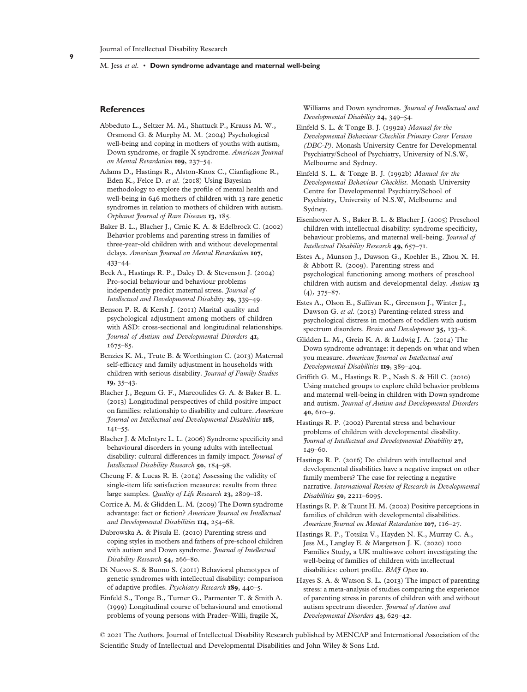## **References**

- Abbeduto L., Seltzer M. M., Shattuck P., Krauss M. W., Orsmond G. & Murphy M. M. (2004) Psychological well-being and coping in mothers of youths with autism, Down syndrome, or fragile X syndrome. *American Journal on Mental Retardation* **109**, 237–54.
- Adams D., Hastings R., Alston-Knox C., Cianfaglione R., Eden K., Felce D. *et al*. (2018) Using Bayesian methodology to explore the profile of mental health and well-being in 646 mothers of children with 13 rare genetic syndromes in relation to mothers of children with autism. *Orphanet Journal of Rare Diseases* **13**, 185.
- Baker B. L., Blacher J., Crnic K. A. & Edelbrock C. (2002) Behavior problems and parenting stress in families of three-year-old children with and without developmental delays. *American Journal on Mental Retardation* **107**, 433–44.
- Beck A., Hastings R. P., Daley D. & Stevenson J. (2004) Pro-social behaviour and behaviour problems independently predict maternal stress. *Journal of Intellectual and Developmental Disability* **29**, 339–49.
- Benson P. R. & Kersh J. (2011) Marital quality and psychological adjustment among mothers of children with ASD: cross-sectional and longitudinal relationships. *Journal of Autism and Developmental Disorders* **41**, 1675–85.
- Benzies K. M., Trute B. & Worthington C. (2013) Maternal self-efficacy and family adjustment in households with children with serious disability. *Journal of Family Studies* **19**, 35–43.
- Blacher J., Begum G. F., Marcoulides G. A. & Baker B. L. (2013) Longitudinal perspectives of child positive impact on families: relationship to disability and culture. *American Journal on Intellectual and Developmental Disabilities* **118**, 141–55.
- Blacher J. & McIntyre L. L. (2006) Syndrome specificity and behavioural disorders in young adults with intellectual disability: cultural differences in family impact. *Journal of Intellectual Disability Research* **50**, 184–98.
- Cheung F. & Lucas R. E. (2014) Assessing the validity of single-item life satisfaction measures: results from three large samples. *Quality of Life Research* **23**, 2809–18.
- Corrice A. M. & Glidden L. M. (2009) The Down syndrome advantage: fact or fiction? *American Journal on Intellectual and Developmental Disabilities* **114**, 254–68.
- Dabrowska A. & Pisula E. (2010) Parenting stress and coping styles in mothers and fathers of pre-school children with autism and Down syndrome. *Journal of Intellectual Disability Research* **54**, 266–80.
- Di Nuovo S. & Buono S. (2011) Behavioral phenotypes of genetic syndromes with intellectual disability: comparison of adaptive profiles. *Psychiatry Research* **189**, 440–5.
- Einfeld S., Tonge B., Turner G., Parmenter T. & Smith A. (1999) Longitudinal course of behavioural and emotional problems of young persons with Prader–Willi, fragile X,

Williams and Down syndromes. *Journal of Intellectual and Developmental Disability* **24**, 349–54.

- Einfeld S. L. & Tonge B. J. (1992a) *Manual for the Developmental Behaviour Checklist Primary Carer Version (DBC-P)*. Monash University Centre for Developmental Psychiatry/School of Psychiatry, University of N.S.W, Melbourne and Sydney.
- Einfeld S. L. & Tonge B. J. (1992b) *Manual for the Developmental Behaviour Checklist*. Monash University Centre for Developmental Psychiatry/School of Psychiatry, University of N.S.W, Melbourne and Sydney.
- Eisenhower A. S., Baker B. L. & Blacher J. (2005) Preschool children with intellectual disability: syndrome specificity, behaviour problems, and maternal well-being. *Journal of Intellectual Disability Research* **49**, 657–71.
- Estes A., Munson J., Dawson G., Koehler E., Zhou X. H. & Abbott R. (2009). Parenting stress and psychological functioning among mothers of preschool children with autism and developmental delay. *Autism* **13**  $(4)$ , 375–87.
- Estes A., Olson E., Sullivan K., Greenson J., Winter J., Dawson G. *et al*. (2013) Parenting-related stress and psychological distress in mothers of toddlers with autism spectrum disorders. *Brain and Development* **35**, 133–8.
- Glidden L. M., Grein K. A. & Ludwig J. A. (2014) The Down syndrome advantage: it depends on what and when you measure. *American Journal on Intellectual and Developmental Disabilities* **119**, 389–404.
- Griffith G. M., Hastings R. P., Nash S. & Hill C. (2010) Using matched groups to explore child behavior problems and maternal well-being in children with Down syndrome and autism. *Journal of Autism and Developmental Disorders* **40**, 610–9.
- Hastings R. P. (2002) Parental stress and behaviour problems of children with developmental disability. *Journal of Intellectual and Developmental Disability* **27**, 149–60.
- Hastings R. P. (2016) Do children with intellectual and developmental disabilities have a negative impact on other family members? The case for rejecting a negative narrative. *International Review of Research in Developmental Disabilities* **50**, 2211–6095.
- Hastings R. P. & Taunt H. M. (2002) Positive perceptions in families of children with developmental disabilities. *American Journal on Mental Retardation* **107**, 116–27.
- Hastings R. P., Totsika V., Hayden N. K., Murray C. A., Jess M., Langley E. & Margetson J. K. (2020) 1000 Families Study, a UK multiwave cohort investigating the well-being of families of children with intellectual disabilities: cohort profile. *BMJ Open* **10**.
- Hayes S. A. & Watson S. L. (2013) The impact of parenting stress: a meta-analysis of studies comparing the experience of parenting stress in parents of children with and without autism spectrum disorder. *Journal of Autism and Developmental Disorders* **43**, 629–42.